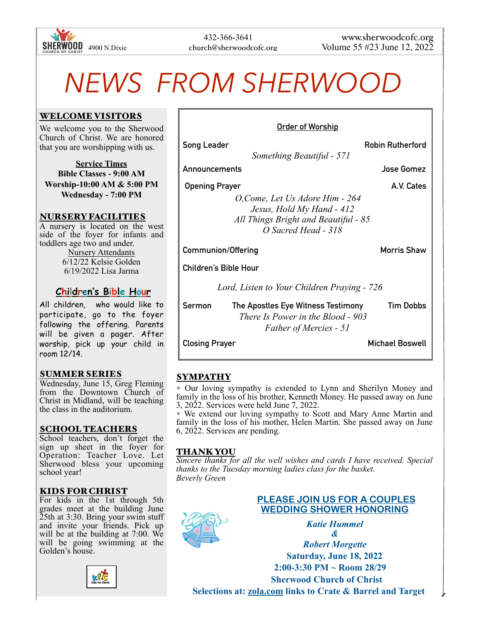

# *NEWS FROM SHERWOOD*

## WELCOME VISITORS

We welcome you to the Sherwood Church of Christ. We are honored that you are worshipping with us.

**Service Times Bible Classes - 9:00 AM Worship-10:00 AM & 5:00 PM Wednesday - 7:00 PM**

#### NURSERY FACILITIES

A nursery is located on the west side of the foyer for infants and toddlers age two and under. Nursery Attendants 6/12/22 Kelsie Golden 6/19/2022 Lisa Jarma

# **Children's Bible Hour**

All children, who would like to participate, go to the foyer following the offering. Parents will be given a pager. After worship, pick up your child in room 12/14.

## SUMMER SERIES

Wednesday, June 15, Greg Fleming from the Downtown Church of Christ in Midland, will be teaching the class in the auditorium.

## SCHOOL TEACHERS

School teachers, don't forget the sign up sheet in the foyer for Operation: Teacher Love. Let Sherwood bless your upcoming school year!

## KIDS FOR CHRIST

For kids in the 1st through 5th grades meet at the building June 25th at 3:30. Bring your swim stuff and invite your friends. Pick up will be at the building at 7:00. We will be going swimming at the Golden's house.



## **Order of Worship**

**Song Leader Robin Rutherford** 

*Something Beautiful - 571*

**Announcements Jose Gomez**

**Opening Prayer A.V. Cates** 

*O,Come, Let Us Adore Him - 264 Jesus, Hold My Hand - 412 All Things Bright and Beautiful - 85 O Sacred Head - 318* 

**Communion/Offering Communion/Offering Communion** 

**Children's Bible Hour**

*Lord, Listen to Your Children Praying - 726*

**Sermon The Apostles Eye Witness Testimony Tim Dobbs**  *There Is Power in the Blood - 903 Father of Mercies - 51*

**Closing Prayer Nichael Boswell** 

# **SYMPATHY**

✦ Our loving sympathy is extended to Lynn and Sherilyn Money and family in the loss of his brother, Kenneth Money. He passed away on June 3, 2022. Services were held June 7, 2022.

✦ We extend our loving sympathy to Scott and Mary Anne Martin and family in the loss of his mother, Helen Martin. She passed away on June 6, 2022. Services are pending.

# THANK YOU

*Sincere thanks for all the well wishes and cards I have received. Special thanks to the Tuesday morning ladies class for the basket. Beverly Green*



# **PLEASE JOIN US FOR A COUPLES WEDDING SHOWER HONORING**

*Katie Hummel & Robert Morgette* **Saturday, June 18, 2022 2:00-3:30 PM ~ Room 28/29 Sherwood Church of Christ Selections at: [zola.com](http://zola.com) links to Crate & Barrel and Target**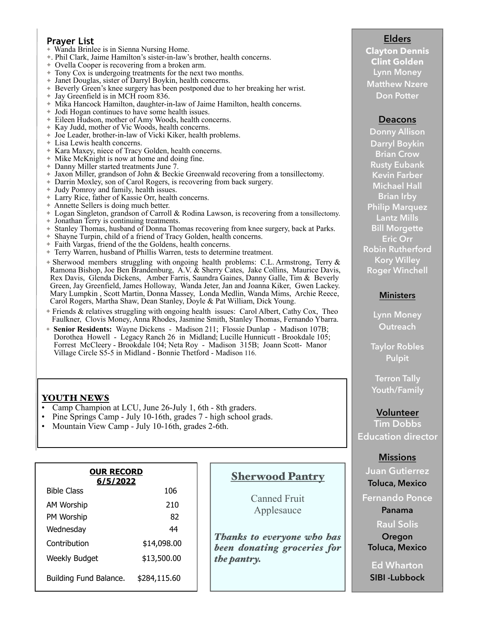# **Prayer List**

- Wanda Brinlee is in Sienna Nursing Home.
- ✦. Phil Clark, Jaime Hamilton's sister-in-law's brother, health concerns.
- ✦ Ovella Cooper is recovering from a broken arm.
- ✦ Tony Cox is undergoing treatments for the next two months.
- ✦ Janet Douglas, sister of Darryl Boykin, health concerns.
- ✦ Beverly Green's knee surgery has been postponed due to her breaking her wrist.
- $\rightarrow$  Jay Greenfield is in MCH room 836.<br> $\rightarrow$  Mika Hancock Hamilton, daughter-in
- Mika Hancock Hamilton, daughter-in-law of Jaime Hamilton, health concerns.
- ✦ Jodi Hogan continues to have some health issues.
- ✦ Eileen Hudson, mother of Amy Woods, health concerns.
- ✦ Kay Judd, mother of Vic Woods, health concerns.
- ✦ Joe Leader, brother-in-law of Vicki Kiker, health problems.
- ✦ Lisa Lewis health concerns.
- ✦ Kara Maxey, niece of Tracy Golden, health concerns.
- ✦ Mike McKnight is now at home and doing fine.
- ✦ Danny Miller started treatments June 7.
- ✦ Jaxon Miller, grandson of John & Beckie Greenwald recovering from a tonsillectomy.
- Darrin Moxley, son of Carol Rogers, is recovering from back surgery.
- Judy Pomroy and family, health issues.
- ✦ Larry Rice, father of Kassie Orr, health concerns.
- ✦ Annette Sellers is doing much better.
- ✦ Logan Singleton, grandson of Carroll & Rodina Lawson, is recovering from a tonsillectomy.
- ✦ Jonathan Terry is continuing treatments.
- ✦ Stanley Thomas, husband of Donna Thomas recovering from knee surgery, back at Parks.
- ✦ Shayne Turpin, child of a friend of Tracy Golden, health concerns.
- ✦ Faith Vargas, friend of the the Goldens, health concerns.
- ✦ Terry Warren, husband of Phillis Warren, tests to determine treatment.
- ✦ Sherwood members struggling with ongoing health problems: C.L. Armstrong, Terry & Ramona Bishop, Joe Ben Brandenburg, A.V. & Sherry Cates, Jake Collins, Maurice Davis, Rex Davis, Glenda Dickens, Amber Farris, Saundra Gaines, Danny Galle, Tim & Beverly Green, Jay Greenfield, James Holloway, Wanda Jeter, Jan and Joanna Kiker, Gwen Lackey. Mary Lumpkin , Scott Martin, Donna Massey, Londa Medlin, Wanda Mims, Archie Reece, Carol Rogers, Martha Shaw, Dean Stanley, Doyle & Pat William, Dick Young.
- ✦ Friends & relatives struggling with ongoing health issues: Carol Albert, Cathy Cox, Theo Faulkner, Clovis Money, Anna Rhodes, Jasmine Smith, Stanley Thomas, Fernando Ybarra.
- ✦ **Senior Residents:** Wayne Dickens Madison 211; Flossie Dunlap Madison 107B; Dorothea Howell - Legacy Ranch 26 in Midland; Lucille Hunnicutt - Brookdale 105; Forrest McCleery - Brookdale 104; Neta Roy - Madison 315B; Joann Scott- Manor Village Circle S5-5 in Midland - Bonnie Thetford - Madison 116.

# YOUTH NEWS

- Camp Champion at LCU, June 26-July 1, 6th 8th graders.
- Pine Springs Camp July 10-16th, grades 7 high school grads.
- Mountain View Camp July 10-16th, grades 2-6th.

| <b>OUR RECORD</b><br>6/5/2022 |              |
|-------------------------------|--------------|
| <b>Bible Class</b>            | 106          |
| AM Worship                    | 210          |
| PM Worship                    | 82           |
| Wednesday                     | 44           |
| Contribution                  | \$14,098.00  |
| <b>Weekly Budget</b>          | \$13,500.00  |
| Building Fund Balance.        | \$284,115.60 |

# Sherwood Pantry

Canned Fruit Applesauce

*Thanks to everyone who has*  been donating groceries for the pantry.

# **Elders**

**Clayton Dennis Clint Golden Lynn Money Matthew Nzere Don Potter**

## **Deacons**

**Donny Allison Darryl Boykin Brian Crow Rusty Eubank Kevin Farber Michael Hall Brian Irby Philip Marquez Lantz Mills Bill Morgette Eric Orr Robin Rutherford Kory Willey Roger Winchell**

#### **Ministers**

**Lynn Money Outreach**

**Taylor Robles Pulpit**

**Terron Tally Youth/Family**

## **Volunteer**

**Tim Dobbs Education director**

# **Missions**

**Juan Gutierrez Toluca, Mexico**

**Fernando Ponce**

**Panama**

**Raul Solis**

**Oregon Toluca, Mexico**

**Ed Wharton SIBI -Lubbock**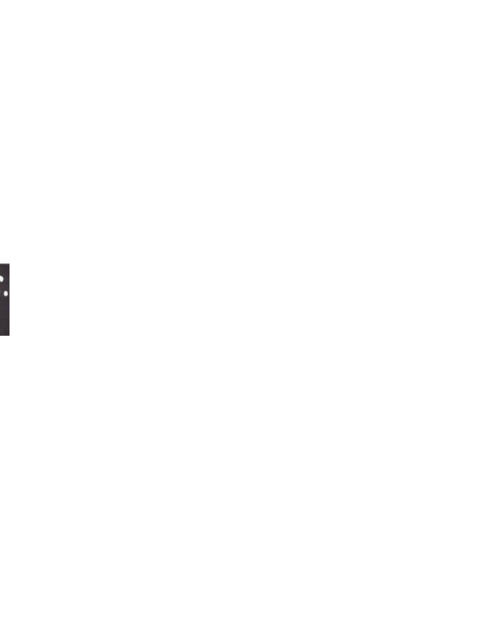